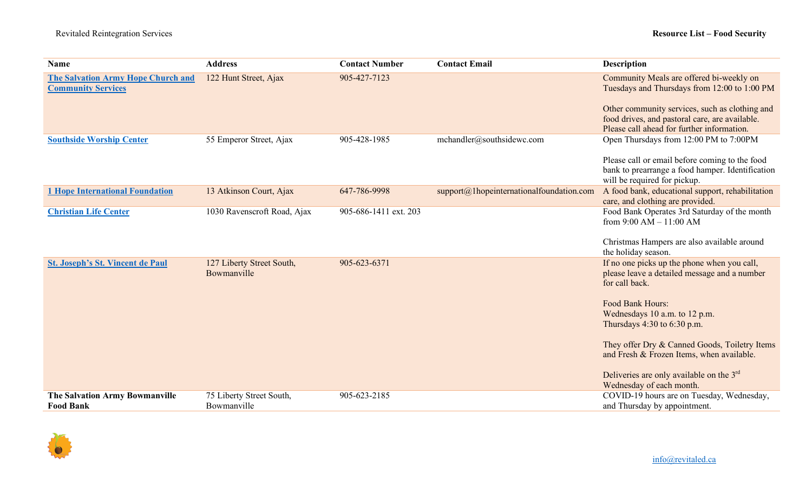| Name                                                                   | <b>Address</b>                           | <b>Contact Number</b> | <b>Contact Email</b>                        | <b>Description</b>                                                                                                                                                                                                                                                                                                                                                          |
|------------------------------------------------------------------------|------------------------------------------|-----------------------|---------------------------------------------|-----------------------------------------------------------------------------------------------------------------------------------------------------------------------------------------------------------------------------------------------------------------------------------------------------------------------------------------------------------------------------|
| <b>The Salvation Army Hope Church and</b><br><b>Community Services</b> | 122 Hunt Street, Ajax                    | 905-427-7123          |                                             | Community Meals are offered bi-weekly on<br>Tuesdays and Thursdays from 12:00 to 1:00 PM<br>Other community services, such as clothing and<br>food drives, and pastoral care, are available.<br>Please call ahead for further information.                                                                                                                                  |
| <b>Southside Worship Center</b>                                        | 55 Emperor Street, Ajax                  | 905-428-1985          | mchandler@southsidewc.com                   | Open Thursdays from 12:00 PM to 7:00PM<br>Please call or email before coming to the food<br>bank to prearrange a food hamper. Identification<br>will be required for pickup.                                                                                                                                                                                                |
| <b>1 Hope International Foundation</b>                                 | 13 Atkinson Court, Ajax                  | 647-786-9998          | $support@1$ hopeinternationalfoundation.com | A food bank, educational support, rehabilitation<br>care, and clothing are provided.                                                                                                                                                                                                                                                                                        |
| <b>Christian Life Center</b>                                           | 1030 Ravenscroft Road, Ajax              | 905-686-1411 ext. 203 |                                             | Food Bank Operates 3rd Saturday of the month<br>from $9:00 AM - 11:00 AM$<br>Christmas Hampers are also available around<br>the holiday season.                                                                                                                                                                                                                             |
| <b>St. Joseph's St. Vincent de Paul</b>                                | 127 Liberty Street South,<br>Bowmanville | 905-623-6371          |                                             | If no one picks up the phone when you call,<br>please leave a detailed message and a number<br>for call back.<br>Food Bank Hours:<br>Wednesdays 10 a.m. to 12 p.m.<br>Thursdays $4:30$ to $6:30$ p.m.<br>They offer Dry & Canned Goods, Toiletry Items<br>and Fresh & Frozen Items, when available.<br>Deliveries are only available on the 3rd<br>Wednesday of each month. |
| <b>The Salvation Army Bowmanville</b><br><b>Food Bank</b>              | 75 Liberty Street South,<br>Bowmanville  | 905-623-2185          |                                             | COVID-19 hours are on Tuesday, Wednesday,<br>and Thursday by appointment.                                                                                                                                                                                                                                                                                                   |

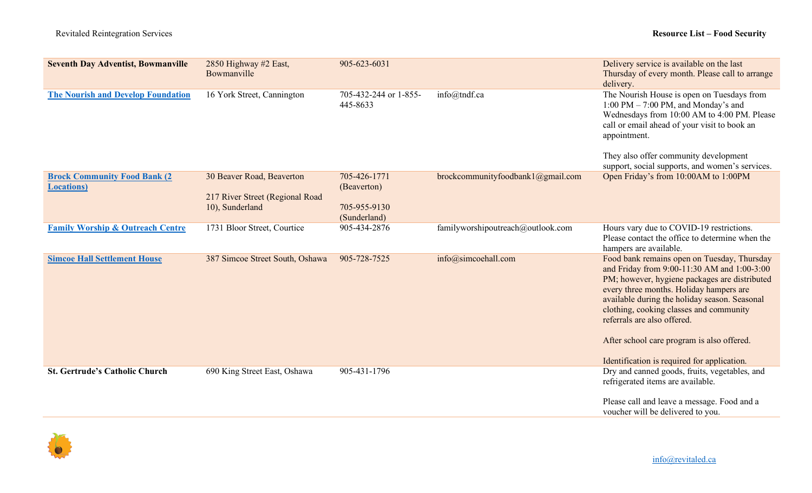| <b>Seventh Day Adventist, Bowmanville</b>                  | 2850 Highway #2 East,<br>Bowmanville                                            | 905-623-6031                                                |                                   | Delivery service is available on the last<br>Thursday of every month. Please call to arrange<br>delivery.                                                                                                                                                                                                                                                                                                      |
|------------------------------------------------------------|---------------------------------------------------------------------------------|-------------------------------------------------------------|-----------------------------------|----------------------------------------------------------------------------------------------------------------------------------------------------------------------------------------------------------------------------------------------------------------------------------------------------------------------------------------------------------------------------------------------------------------|
| <b>The Nourish and Develop Foundation</b>                  | 16 York Street, Cannington                                                      | 705-432-244 or 1-855-<br>445-8633                           | info@tndf.ca                      | The Nourish House is open on Tuesdays from<br>1:00 PM $-$ 7:00 PM, and Monday's and<br>Wednesdays from 10:00 AM to 4:00 PM. Please<br>call or email ahead of your visit to book an<br>appointment.                                                                                                                                                                                                             |
|                                                            |                                                                                 |                                                             |                                   | They also offer community development<br>support, social supports, and women's services.                                                                                                                                                                                                                                                                                                                       |
| <b>Brock Community Food Bank (2)</b><br><b>Locations</b> ) | 30 Beaver Road, Beaverton<br>217 River Street (Regional Road<br>10), Sunderland | 705-426-1771<br>(Beaverton)<br>705-955-9130<br>(Sunderland) | brockcommunityfoodbank1@gmail.com | Open Friday's from 10:00AM to 1:00PM                                                                                                                                                                                                                                                                                                                                                                           |
| <b>Family Worship &amp; Outreach Centre</b>                | 1731 Bloor Street, Courtice                                                     | 905-434-2876                                                | familyworshipoutreach@outlook.com | Hours vary due to COVID-19 restrictions.<br>Please contact the office to determine when the<br>hampers are available.                                                                                                                                                                                                                                                                                          |
| <b>Simcoe Hall Settlement House</b>                        | 387 Simcoe Street South, Oshawa                                                 | 905-728-7525                                                | info@simcoehall.com               | Food bank remains open on Tuesday, Thursday<br>and Friday from 9:00-11:30 AM and 1:00-3:00<br>PM; however, hygiene packages are distributed<br>every three months. Holiday hampers are<br>available during the holiday season. Seasonal<br>clothing, cooking classes and community<br>referrals are also offered.<br>After school care program is also offered.<br>Identification is required for application. |
| <b>St. Gertrude's Catholic Church</b>                      | 690 King Street East, Oshawa                                                    | 905-431-1796                                                |                                   | Dry and canned goods, fruits, vegetables, and<br>refrigerated items are available.                                                                                                                                                                                                                                                                                                                             |
|                                                            |                                                                                 |                                                             |                                   | Please call and leave a message. Food and a<br>voucher will be delivered to you.                                                                                                                                                                                                                                                                                                                               |

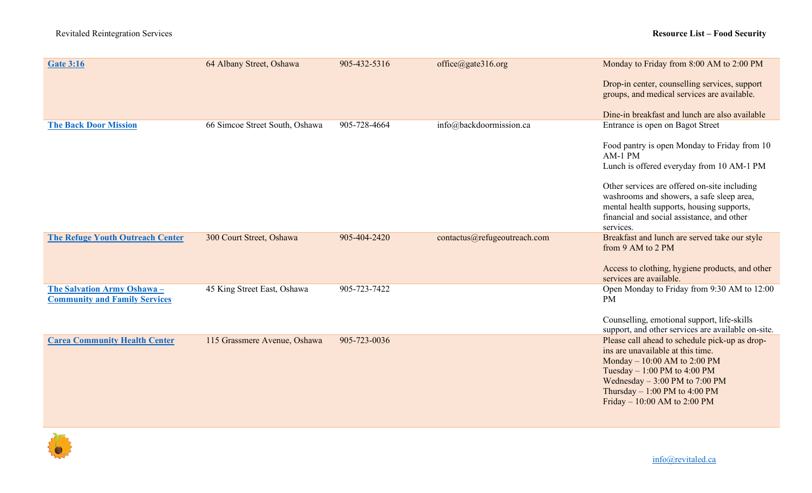| <b>Gate 3:16</b>                                                    | 64 Albany Street, Oshawa       | 905-432-5316 | office@gate316.org           | Monday to Friday from 8:00 AM to 2:00 PM                                                                                                                                                                                                                    |
|---------------------------------------------------------------------|--------------------------------|--------------|------------------------------|-------------------------------------------------------------------------------------------------------------------------------------------------------------------------------------------------------------------------------------------------------------|
|                                                                     |                                |              |                              | Drop-in center, counselling services, support<br>groups, and medical services are available.                                                                                                                                                                |
|                                                                     |                                |              |                              | Dine-in breakfast and lunch are also available                                                                                                                                                                                                              |
| <b>The Back Door Mission</b>                                        | 66 Simcoe Street South, Oshawa | 905-728-4664 | info@backdoormission.ca      | Entrance is open on Bagot Street                                                                                                                                                                                                                            |
|                                                                     |                                |              |                              | Food pantry is open Monday to Friday from 10<br>AM-1 PM                                                                                                                                                                                                     |
|                                                                     |                                |              |                              | Lunch is offered everyday from 10 AM-1 PM                                                                                                                                                                                                                   |
|                                                                     |                                |              |                              | Other services are offered on-site including<br>washrooms and showers, a safe sleep area,<br>mental health supports, housing supports,<br>financial and social assistance, and other                                                                        |
|                                                                     |                                |              |                              | services.                                                                                                                                                                                                                                                   |
| <b>The Refuge Youth Outreach Center</b>                             | 300 Court Street, Oshawa       | 905-404-2420 | contactus@refugeoutreach.com | Breakfast and lunch are served take our style<br>from 9 AM to 2 PM<br>Access to clothing, hygiene products, and other                                                                                                                                       |
|                                                                     |                                |              |                              | services are available.                                                                                                                                                                                                                                     |
| The Salvation Army Oshawa -<br><b>Community and Family Services</b> | 45 King Street East, Oshawa    | 905-723-7422 |                              | Open Monday to Friday from 9:30 AM to 12:00<br><b>PM</b>                                                                                                                                                                                                    |
|                                                                     |                                |              |                              | Counselling, emotional support, life-skills<br>support, and other services are available on-site.                                                                                                                                                           |
| <b>Carea Community Health Center</b>                                | 115 Grassmere Avenue, Oshawa   | 905-723-0036 |                              | Please call ahead to schedule pick-up as drop-<br>ins are unavailable at this time.<br>Monday $-10:00$ AM to 2:00 PM<br>Tuesday $-1:00$ PM to 4:00 PM<br>Wednesday $-3:00$ PM to 7:00 PM<br>Thursday $-1:00$ PM to 4:00 PM<br>Friday $-10:00$ AM to 2:00 PM |



info@revitaled.ca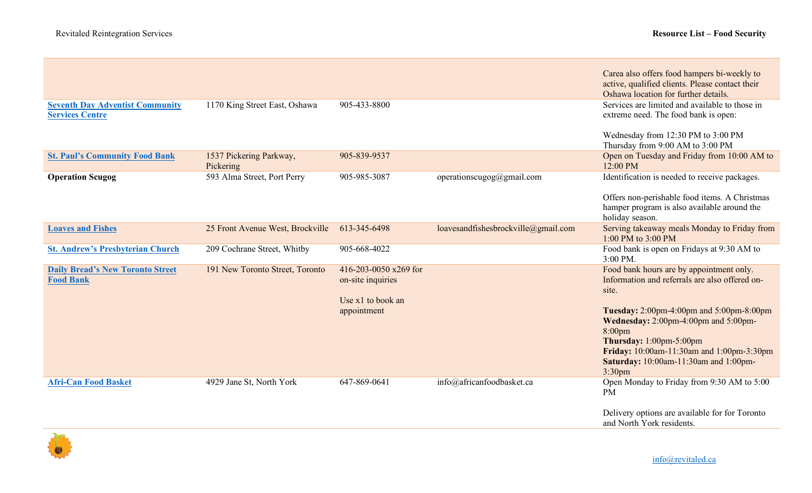| <b>Seventh Day Adventist Community</b><br><b>Services Centre</b><br><b>St. Paul's Community Food Bank</b> | 1170 King Street East, Oshawa        | 905-433-8800<br>905-839-9537                                                     |                                     | Carea also offers food hampers bi-weekly to<br>active, qualified clients. Please contact their<br>Oshawa location for further details.<br>Services are limited and available to those in<br>extreme need. The food bank is open:<br>Wednesday from 12:30 PM to 3:00 PM<br>Thursday from 9:00 AM to 3:00 PM<br>Open on Tuesday and Friday from 10:00 AM to |
|-----------------------------------------------------------------------------------------------------------|--------------------------------------|----------------------------------------------------------------------------------|-------------------------------------|-----------------------------------------------------------------------------------------------------------------------------------------------------------------------------------------------------------------------------------------------------------------------------------------------------------------------------------------------------------|
|                                                                                                           | 1537 Pickering Parkway,<br>Pickering |                                                                                  |                                     | 12:00 PM                                                                                                                                                                                                                                                                                                                                                  |
| <b>Operation Scugog</b>                                                                                   | 593 Alma Street, Port Perry          | 905-985-3087                                                                     | operationscugog@gmail.com           | Identification is needed to receive packages.<br>Offers non-perishable food items. A Christmas<br>hamper program is also available around the<br>holiday season.                                                                                                                                                                                          |
| <b>Loaves and Fishes</b>                                                                                  | 25 Front Avenue West, Brockville     | 613-345-6498                                                                     | loavesandfishesbrockville@gmail.com | Serving takeaway meals Monday to Friday from<br>1:00 PM to 3:00 PM                                                                                                                                                                                                                                                                                        |
| <b>St. Andrew's Presbyterian Church</b>                                                                   | 209 Cochrane Street, Whitby          | 905-668-4022                                                                     |                                     | Food bank is open on Fridays at 9:30 AM to<br>$3:00$ PM.                                                                                                                                                                                                                                                                                                  |
| <b>Daily Bread's New Toronto Street</b><br><b>Food Bank</b>                                               | 191 New Toronto Street, Toronto      | 416-203-0050 x269 for<br>on-site inquiries<br>Use $x1$ to book an<br>appointment |                                     | Food bank hours are by appointment only.<br>Information and referrals are also offered on-<br>site.<br>Tuesday: 2:00pm-4:00pm and 5:00pm-8:00pm<br>Wednesday: 2:00pm-4:00pm and 5:00pm-<br>8:00 <sub>pm</sub><br>Thursday: 1:00pm-5:00pm<br>Friday: 10:00am-11:30am and 1:00pm-3:30pm<br>Saturday: 10:00am-11:30am and 1:00pm-<br>3:30 <sub>pm</sub>      |
| <b>Afri-Can Food Basket</b>                                                                               | 4929 Jane St, North York             | 647-869-0641                                                                     | info@africanfoodbasket.ca           | Open Monday to Friday from 9:30 AM to 5:00<br><b>PM</b><br>Delivery options are available for for Toronto<br>and North York residents.                                                                                                                                                                                                                    |